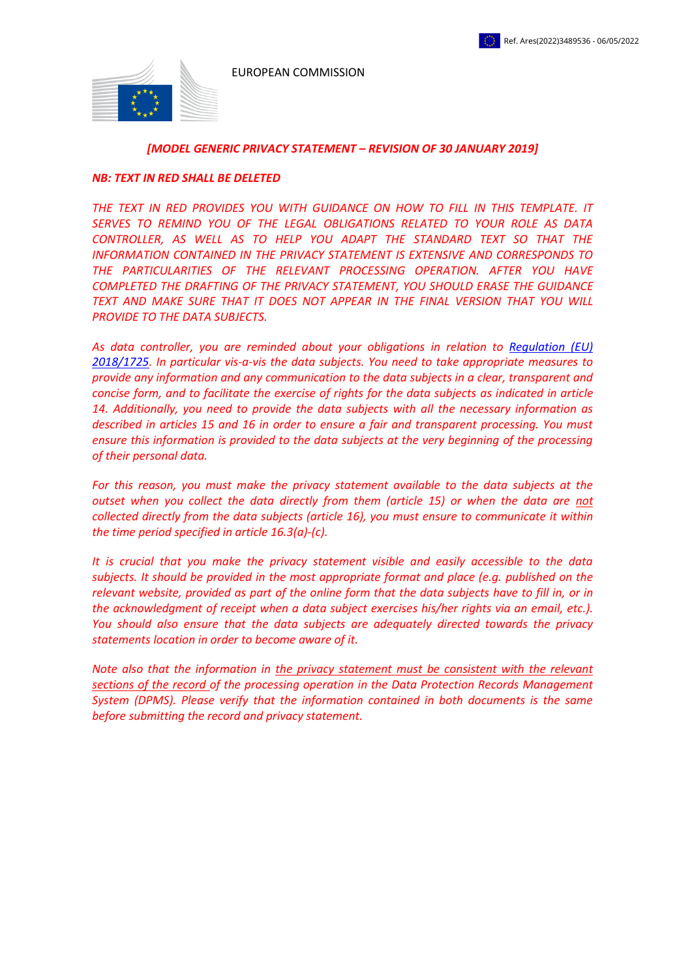EUROPEAN COMMISSION



#### *[MODEL GENERIC PRIVACY STATEMENT – REVISION OF 30 JANUARY 2019]*

#### *NB: TEXT IN RED SHALL BE DELETED*

*THE TEXT IN RED PROVIDES YOU WITH GUIDANCE ON HOW TO FILL IN THIS TEMPLATE. IT SERVES TO REMIND YOU OF THE LEGAL OBLIGATIONS RELATED TO YOUR ROLE AS DATA CONTROLLER, AS WELL AS TO HELP YOU ADAPT THE STANDARD TEXT SO THAT THE INFORMATION CONTAINED IN THE PRIVACY STATEMENT IS EXTENSIVE AND CORRESPONDS TO*  THE PARTICULARITIES OF THE RELEVANT PROCESSING OPERATION. AFTER YOU HAVE *COMPLETED THE DRAFTING OF THE PRIVACY STATEMENT, YOU SHOULD ERASE THE GUIDANCE TEXT AND MAKE SURE THAT IT DOES NOT APPEAR IN THE FINAL VERSION THAT YOU WILL PROVIDE TO THE DATA SUBJECTS.*

*As data controller, you are reminded about your obligations in relation to [Regulation \(EU\)](https://eur-lex.europa.eu/legal-content/EN/TXT/?uri=uriserv:OJ.L_.2018.295.01.0039.01.ENG&toc=OJ:L:2018:295:TOC)  [2018/1725.](https://eur-lex.europa.eu/legal-content/EN/TXT/?uri=uriserv:OJ.L_.2018.295.01.0039.01.ENG&toc=OJ:L:2018:295:TOC) In particular vis-a-vis the data subjects. You need to take appropriate measures to provide any information and any communication to the data subjects in a clear, transparent and concise form, and to facilitate the exercise of rights for the data subjects as indicated in article 14. Additionally, you need to provide the data subjects with all the necessary information as described in articles 15 and 16 in order to ensure a fair and transparent processing. You must ensure this information is provided to the data subjects at the very beginning of the processing of their personal data.* 

*For this reason, you must make the privacy statement available to the data subjects at the outset when you collect the data directly from them (article 15) or when the data are not collected directly from the data subjects (article 16), you must ensure to communicate it within the time period specified in article 16.3(a)-(c).*

*It is crucial that you make the privacy statement visible and easily accessible to the data subjects. It should be provided in the most appropriate format and place (e.g. published on the relevant website, provided as part of the online form that the data subjects have to fill in, or in the acknowledgment of receipt when a data subject exercises his/her rights via an email, etc.). You should also ensure that the data subjects are adequately directed towards the privacy statements location in order to become aware of it.* 

*Note also that the information in the privacy statement must be consistent with the relevant sections of the record of the processing operation in the Data Protection Records Management System (DPMS). Please verify that the information contained in both documents is the same before submitting the record and privacy statement.*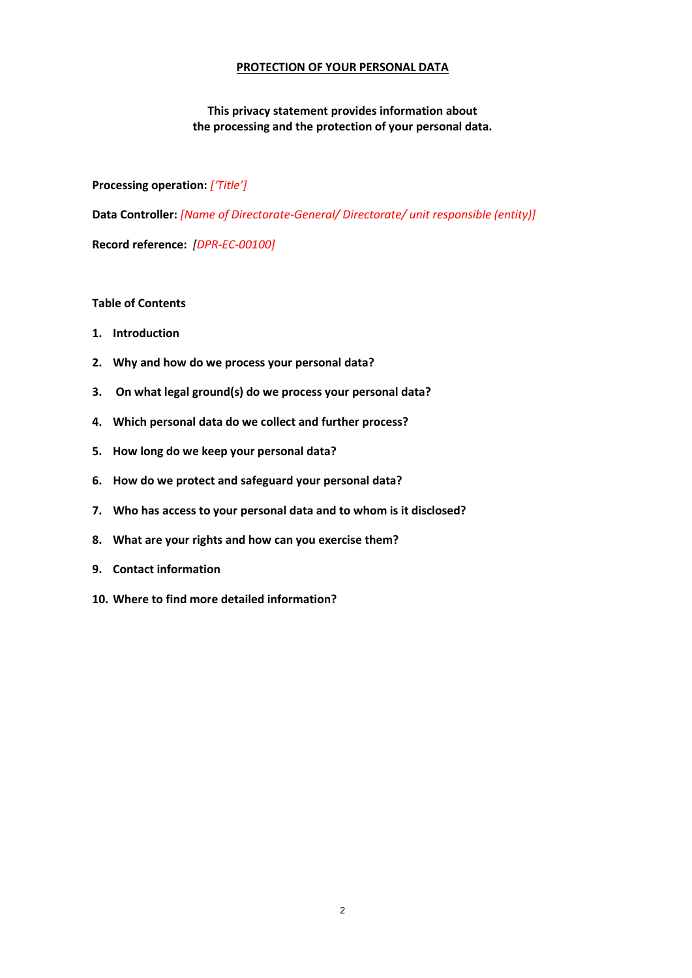### **PROTECTION OF YOUR PERSONAL DATA**

# **This privacy statement provides information about the processing and the protection of your personal data.**

**Processing operation:** *['Title']*

**Data Controller:** *[Name of Directorate-General/ Directorate/ unit responsible (entity)]*

**Record reference:** *[DPR-EC-00100]*

## **Table of Contents**

- **1. Introduction**
- **2. Why and how do we process your personal data?**
- **3. On what legal ground(s) do we process your personal data?**
- **4. Which personal data do we collect and further process?**
- **5. How long do we keep your personal data?**
- **6. How do we protect and safeguard your personal data?**
- **7. Who has access to your personal data and to whom is it disclosed?**
- **8. What are your rights and how can you exercise them?**
- **9. Contact information**
- **10. Where to find more detailed information?**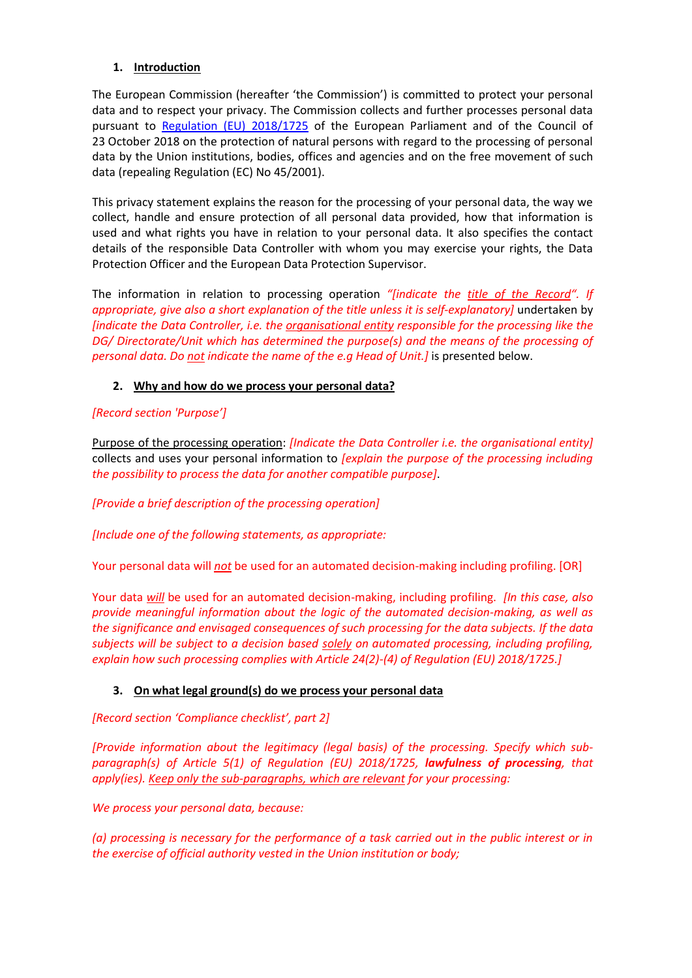# **1. Introduction**

The European Commission (hereafter 'the Commission') is committed to protect your personal data and to respect your privacy. The Commission collects and further processes personal data pursuant to [Regulation \(EU\) 2018/1725](https://eur-lex.europa.eu/legal-content/EN/TXT/?uri=uriserv:OJ.L_.2018.295.01.0039.01.ENG&toc=OJ:L:2018:295:TOC) of the European Parliament and of the Council of 23 October 2018 on the protection of natural persons with regard to the processing of personal data by the Union institutions, bodies, offices and agencies and on the free movement of such data (repealing Regulation (EC) No 45/2001).

This privacy statement explains the reason for the processing of your personal data, the way we collect, handle and ensure protection of all personal data provided, how that information is used and what rights you have in relation to your personal data. It also specifies the contact details of the responsible Data Controller with whom you may exercise your rights, the Data Protection Officer and the European Data Protection Supervisor.

The information in relation to processing operation *"[indicate the title of the Record". If appropriate, give also a short explanation of the title unless it is self-explanatory]* undertaken by *[indicate the Data Controller, i.e. the organisational entity responsible for the processing like the DG/ Directorate/Unit which has determined the purpose(s) and the means of the processing of personal data. Do not indicate the name of the e.g Head of Unit.]* is presented below.

# **2. Why and how do we process your personal data?**

# *[Record section 'Purpose']*

Purpose of the processing operation: *[Indicate the Data Controller i.e. the organisational entity]* collects and uses your personal information to *[explain the purpose of the processing including the possibility to process the data for another compatible purpose]*.

*[Provide a brief description of the processing operation]*

*[Include one of the following statements, as appropriate:*

Your personal data will *not* be used for an automated decision-making including profiling. [OR]

Your data *will* be used for an automated decision-making, including profiling. *[In this case, also provide meaningful information about the logic of the automated decision-making, as well as the significance and envisaged consequences of such processing for the data subjects. If the data subjects will be subject to a decision based solely on automated processing, including profiling, explain how such processing complies with Article 24(2)-(4) of Regulation (EU) 2018/1725.]*

### **3. On what legal ground(s) do we process your personal data**

*[Record section 'Compliance checklist', part 2]*

*[Provide information about the legitimacy (legal basis) of the processing. Specify which subparagraph(s) of Article 5(1) of Regulation (EU) 2018/1725, lawfulness of processing, that apply(ies). Keep only the sub-paragraphs, which are relevant for your processing:*

*We process your personal data, because:*

*(a) processing is necessary for the performance of a task carried out in the public interest or in the exercise of official authority vested in the Union institution or body;*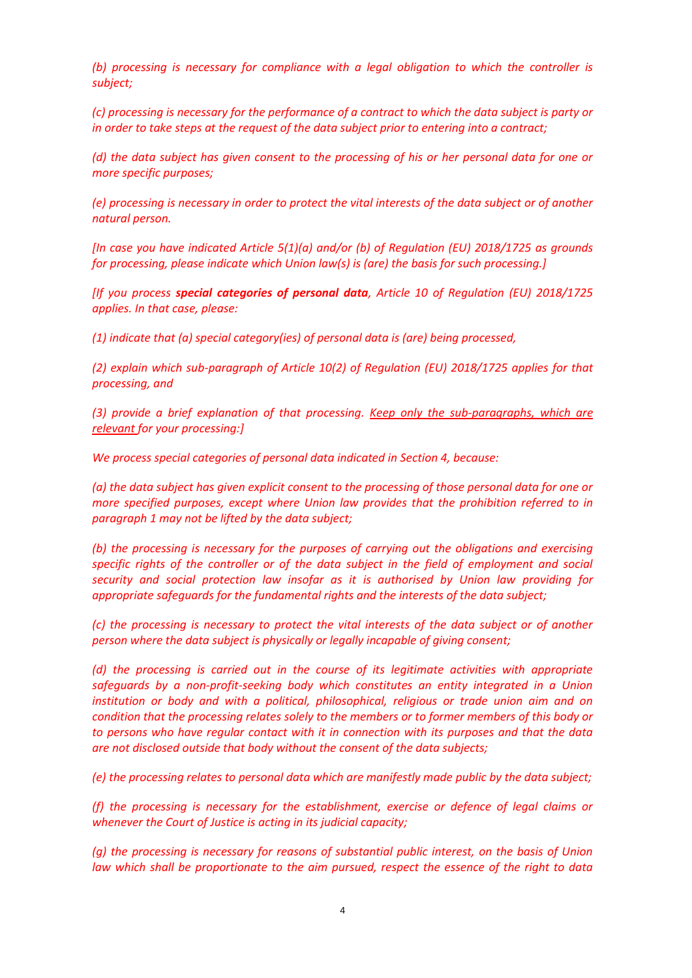*(b) processing is necessary for compliance with a legal obligation to which the controller is subject;*

*(c) processing is necessary for the performance of a contract to which the data subject is party or in order to take steps at the request of the data subject prior to entering into a contract;*

*(d) the data subject has given consent to the processing of his or her personal data for one or more specific purposes;*

*(e) processing is necessary in order to protect the vital interests of the data subject or of another natural person.*

*[In case you have indicated Article 5(1)(a) and/or (b) of Regulation (EU) 2018/1725 as grounds for processing, please indicate which Union law(s) is (are) the basis for such processing.]*

*[If you process special categories of personal data, Article 10 of Regulation (EU) 2018/1725 applies. In that case, please:*

*(1) indicate that (a) special category(ies) of personal data is (are) being processed,*

*(2) explain which sub-paragraph of Article 10(2) of Regulation (EU) 2018/1725 applies for that processing, and*

*(3) provide a brief explanation of that processing. Keep only the sub-paragraphs, which are relevant for your processing:]*

*We process special categories of personal data indicated in Section 4, because:*

*(a) the data subject has given explicit consent to the processing of those personal data for one or more specified purposes, except where Union law provides that the prohibition referred to in paragraph 1 may not be lifted by the data subject;*

*(b) the processing is necessary for the purposes of carrying out the obligations and exercising specific rights of the controller or of the data subject in the field of employment and social security and social protection law insofar as it is authorised by Union law providing for appropriate safeguards for the fundamental rights and the interests of the data subject;*

*(c) the processing is necessary to protect the vital interests of the data subject or of another person where the data subject is physically or legally incapable of giving consent;*

*(d) the processing is carried out in the course of its legitimate activities with appropriate safeguards by a non-profit-seeking body which constitutes an entity integrated in a Union*  institution or body and with a political, philosophical, religious or trade union aim and on *condition that the processing relates solely to the members or to former members of this body or to persons who have regular contact with it in connection with its purposes and that the data are not disclosed outside that body without the consent of the data subjects;*

*(e) the processing relates to personal data which are manifestly made public by the data subject;*

*(f) the processing is necessary for the establishment, exercise or defence of legal claims or whenever the Court of Justice is acting in its judicial capacity;*

*(g) the processing is necessary for reasons of substantial public interest, on the basis of Union law which shall be proportionate to the aim pursued, respect the essence of the right to data*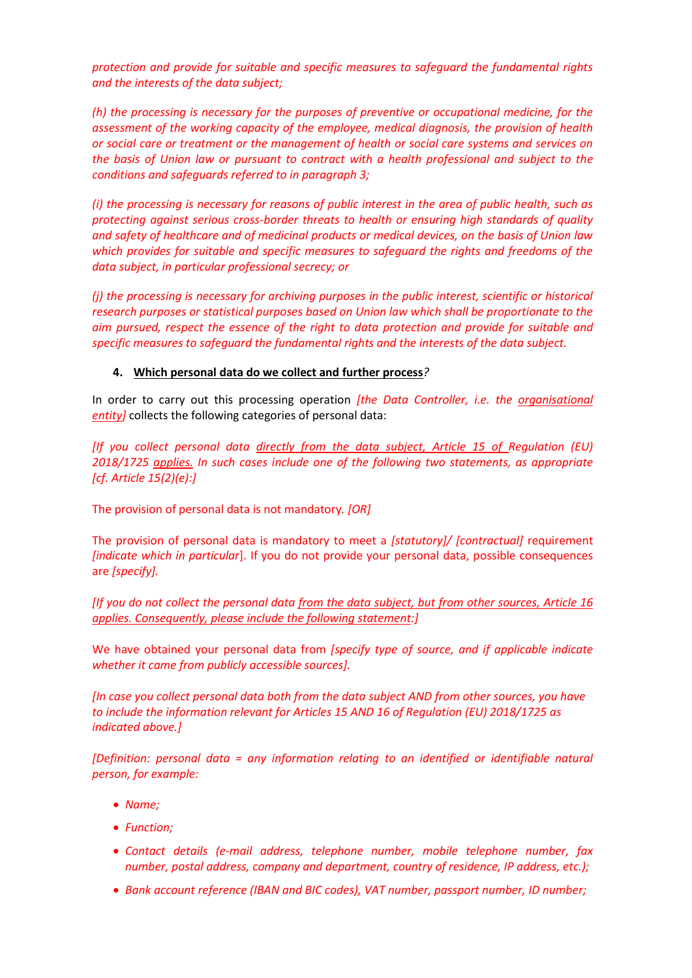*protection and provide for suitable and specific measures to safeguard the fundamental rights and the interests of the data subject;*

*(h) the processing is necessary for the purposes of preventive or occupational medicine, for the assessment of the working capacity of the employee, medical diagnosis, the provision of health or social care or treatment or the management of health or social care systems and services on the basis of Union law or pursuant to contract with a health professional and subject to the conditions and safeguards referred to in paragraph 3;*

*(i) the processing is necessary for reasons of public interest in the area of public health, such as protecting against serious cross-border threats to health or ensuring high standards of quality and safety of healthcare and of medicinal products or medical devices, on the basis of Union law which provides for suitable and specific measures to safeguard the rights and freedoms of the data subject, in particular professional secrecy; or*

*(j) the processing is necessary for archiving purposes in the public interest, scientific or historical research purposes or statistical purposes based on Union law which shall be proportionate to the aim pursued, respect the essence of the right to data protection and provide for suitable and specific measures to safeguard the fundamental rights and the interests of the data subject.*

### **4. Which personal data do we collect and further process***?*

In order to carry out this processing operation *[the Data Controller, i.e. the organisational entity]* collects the following categories of personal data:

*[If you collect personal data directly from the data subject, Article 15 of Regulation (EU) 2018/1725 applies. In such cases include one of the following two statements, as appropriate [cf. Article 15(2)(e):]*

The provision of personal data is not mandatory*. [OR]*

The provision of personal data is mandatory to meet a *[statutory]/ [contractual]* requirement *[indicate which in particular*]. If you do not provide your personal data, possible consequences are *[specify].*

*[If you do not collect the personal data from the data subject, but from other sources, Article 16 applies. Consequently, please include the following statement:]*

We have obtained your personal data from *[specify type of source, and if applicable indicate whether it came from publicly accessible sources].*

*[In case you collect personal data both from the data subject AND from other sources, you have to include the information relevant for Articles 15 AND 16 of Regulation (EU) 2018/1725 as indicated above.]*

*[Definition: personal data = any information relating to an identified or identifiable natural person, for example:*

- *Name;*
- *Function;*
- *Contact details (e-mail address, telephone number, mobile telephone number, fax number, postal address, company and department, country of residence, IP address, etc.);*
- *Bank account reference (IBAN and BIC codes), VAT number, passport number, ID number;*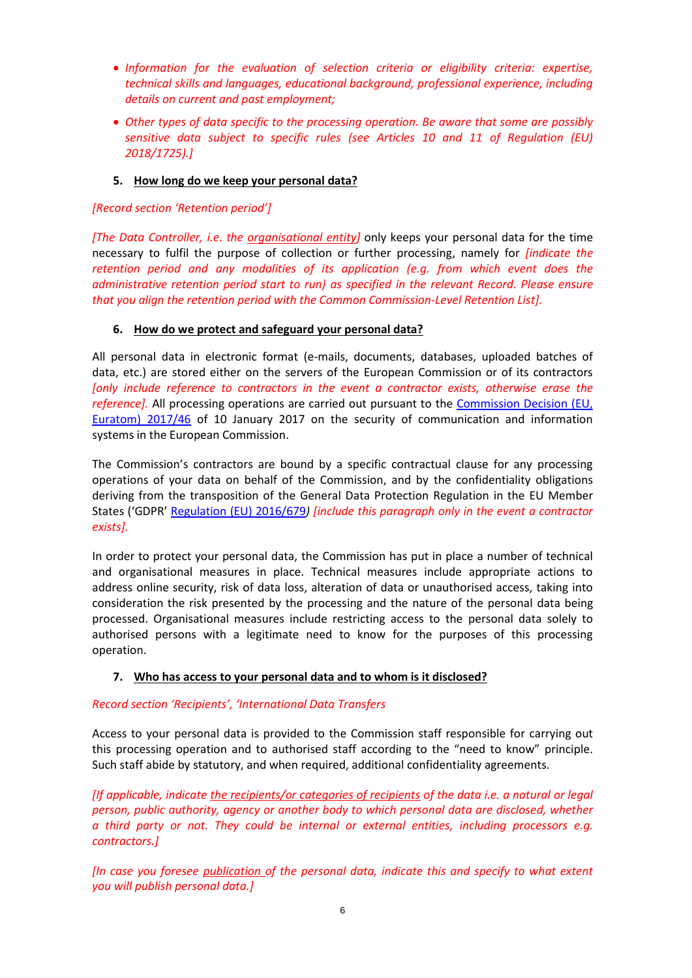- *Information for the evaluation of selection criteria or eligibility criteria: expertise, technical skills and languages, educational background, professional experience, including details on current and past employment;*
- *Other types of data specific to the processing operation. Be aware that some are possibly sensitive data subject to specific rules (see Articles 10 and 11 of Regulation (EU) 2018/1725).]*

# **5. How long do we keep your personal data?**

## *[Record section 'Retention period']*

*[The Data Controller, i.e. the organisational entity]* only keeps your personal data for the time necessary to fulfil the purpose of collection or further processing, namely for *[indicate the retention period and any modalities of its application (e.g. from which event does the administrative retention period start to run) as specified in the relevant Record. Please ensure that you align the retention period with the Common Commission-Level Retention List].*

# **6. How do we protect and safeguard your personal data?**

All personal data in electronic format (e-mails, documents, databases, uploaded batches of data, etc.) are stored either on the servers of the European Commission or of its contractors *[only include reference to contractors in the event a contractor exists, otherwise erase the reference].* All processing operations are carried out pursuant to the [Commission Decision \(EU,](https://eur-lex.europa.eu/legal-content/EN/TXT/?qid=1548093747090&uri=CELEX:32017D0046)  [Euratom\) 2017/46](https://eur-lex.europa.eu/legal-content/EN/TXT/?qid=1548093747090&uri=CELEX:32017D0046) of 10 January 2017 on the security of communication and information systems in the European Commission.

The Commission's contractors are bound by a specific contractual clause for any processing operations of your data on behalf of the Commission, and by the confidentiality obligations deriving from the transposition of the General Data Protection Regulation in the EU Member States ('GDPR' [Regulation \(EU\) 2016/679](https://eur-lex.europa.eu/legal-content/EN/TXT/?uri=celex%3A32016R0679)*) [include this paragraph only in the event a contractor exists].*

In order to protect your personal data, the Commission has put in place a number of technical and organisational measures in place. Technical measures include appropriate actions to address online security, risk of data loss, alteration of data or unauthorised access, taking into consideration the risk presented by the processing and the nature of the personal data being processed. Organisational measures include restricting access to the personal data solely to authorised persons with a legitimate need to know for the purposes of this processing operation.

# **7. Who has access to your personal data and to whom is it disclosed?**

# *Record section 'Recipients', 'International Data Transfers*

Access to your personal data is provided to the Commission staff responsible for carrying out this processing operation and to authorised staff according to the "need to know" principle. Such staff abide by statutory, and when required, additional confidentiality agreements.

*[If applicable, indicate the recipients/or categories of recipients of the data i.e. a natural or legal person, public authority, agency or another body to which personal data are disclosed, whether a third party or not. They could be internal or external entities, including processors e.g. contractors.]* 

*[In case you foresee publication of the personal data, indicate this and specify to what extent you will publish personal data.]*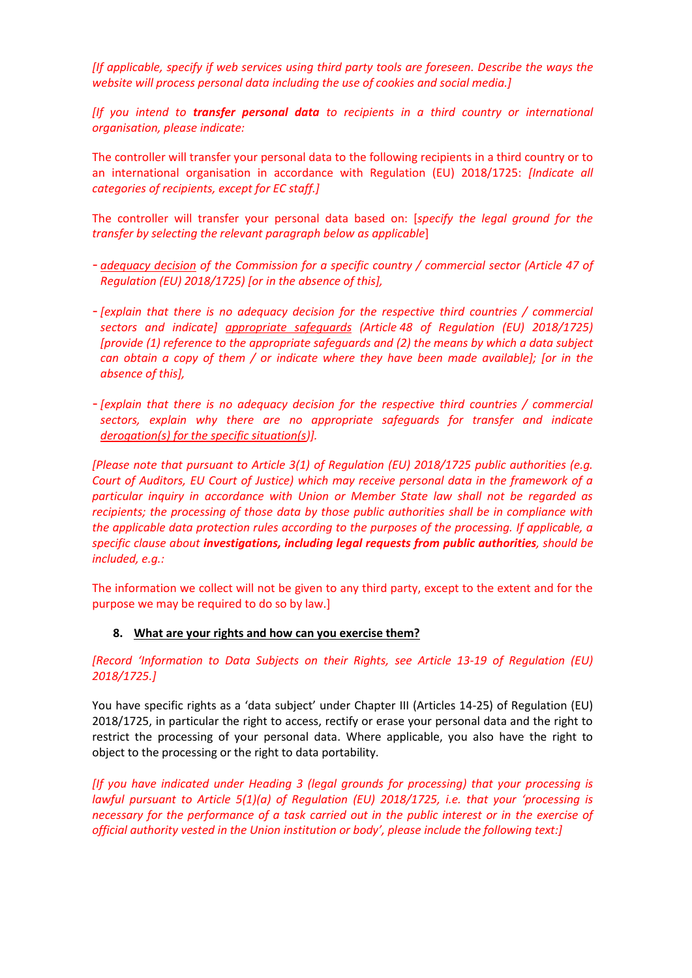*[If applicable, specify if web services using third party tools are foreseen. Describe the ways the website will process personal data including the use of cookies and social media.]*

*[If you intend to transfer personal data to recipients in a third country or international organisation, please indicate:*

The controller will transfer your personal data to the following recipients in a third country or to an international organisation in accordance with Regulation (EU) 2018/1725: *[Indicate all categories of recipients, except for EC staff.]*

The controller will transfer your personal data based on: [*specify the legal ground for the transfer by selecting the relevant paragraph below as applicable*]

- *adequacy decision of the Commission for a specific country / commercial sector (Article 47 of Regulation (EU) 2018/1725) [or in the absence of this],*
- *[explain that there is no adequacy decision for the respective third countries / commercial sectors and indicate] appropriate safeguards (Article 48 of Regulation (EU) 2018/1725) [provide (1) reference to the appropriate safeguards and (2) the means by which a data subject can obtain a copy of them / or indicate where they have been made available]; [or in the absence of this],*
- *[explain that there is no adequacy decision for the respective third countries / commercial sectors, explain why there are no appropriate safeguards for transfer and indicate derogation(s) for the specific situation(s)].*

*[Please note that pursuant to Article 3(1) of Regulation (EU) 2018/1725 public authorities (e.g. Court of Auditors, EU Court of Justice) which may receive personal data in the framework of a particular inquiry in accordance with Union or Member State law shall not be regarded as recipients; the processing of those data by those public authorities shall be in compliance with the applicable data protection rules according to the purposes of the processing. If applicable, a specific clause about investigations, including legal requests from public authorities, should be included, e.g.:* 

The information we collect will not be given to any third party, except to the extent and for the purpose we may be required to do so by law.]

### **8. What are your rights and how can you exercise them?**

*[Record 'Information to Data Subjects on their Rights, see Article 13-19 of Regulation (EU) 2018/1725.]*

You have specific rights as a 'data subject' under Chapter III (Articles 14-25) of Regulation (EU) 2018/1725, in particular the right to access, rectify or erase your personal data and the right to restrict the processing of your personal data. Where applicable, you also have the right to object to the processing or the right to data portability.

*[If you have indicated under Heading 3 (legal grounds for processing) that your processing is lawful pursuant to Article 5(1)(a) of Regulation (EU) 2018/1725, i.e. that your 'processing is necessary for the performance of a task carried out in the public interest or in the exercise of official authority vested in the Union institution or body', please include the following text:]*